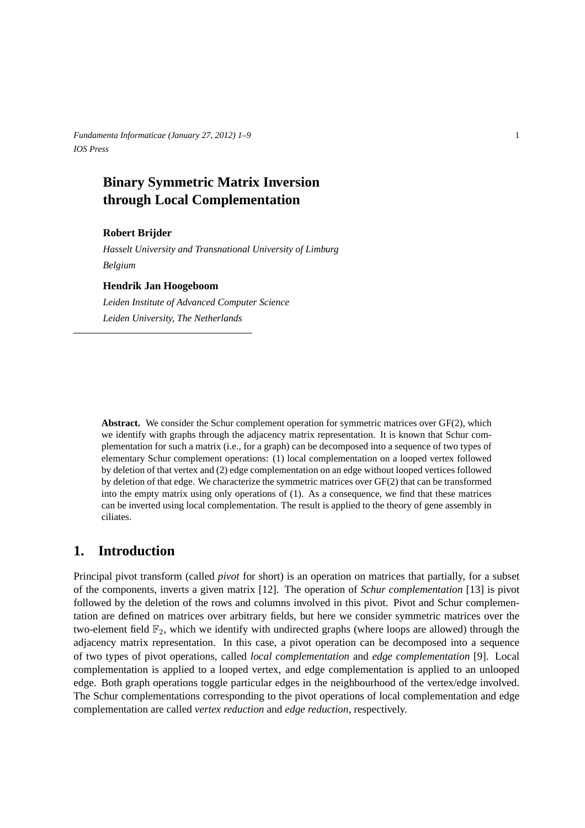*Fundamenta Informaticae (January 27, 2012) 1–9* 1 *IOS Press*

# **Binary Symmetric Matrix Inversion through Local Complementation**

### **Robert Brijder**

*Hasselt University and Transnational University of Limburg Belgium*

#### **Hendrik Jan Hoogeboom**

*Leiden Institute of Advanced Computer Science Leiden University, The Netherlands*

**Abstract.** We consider the Schur complement operation for symmetric matrices over GF(2), which we identify with graphs through the adjacency matrix representation. It is known that Schur complementation for such a matrix (i.e., for a graph) can be decomposed into a sequence of two types of elementary Schur complement operations: (1) local complementation on a looped vertex followed by deletion of that vertex and (2) edge complementation on an edge without looped vertices followed by deletion of that edge. We characterize the symmetric matrices over GF(2) that can be transformed into the empty matrix using only operations of (1). As a consequence, we find that these matrices can be inverted using local complementation. The result is applied to the theory of gene assembly in ciliates.

# **1. Introduction**

Principal pivot transform (called *pivot* for short) is an operation on matrices that partially, for a subset of the components, inverts a given matrix [12]. The operation of *Schur complementation* [13] is pivot followed by the deletion of the rows and columns involved in this pivot. Pivot and Schur complementation are defined on matrices over arbitrary fields, but here we consider symmetric matrices over the two-element field  $\mathbb{F}_2$ , which we identify with undirected graphs (where loops are allowed) through the adjacency matrix representation. In this case, a pivot operation can be decomposed into a sequence of two types of pivot operations, called *local complementation* and *edge complementation* [9]. Local complementation is applied to a looped vertex, and edge complementation is applied to an unlooped edge. Both graph operations toggle particular edges in the neighbourhood of the vertex/edge involved. The Schur complementations corresponding to the pivot operations of local complementation and edge complementation are called *vertex reduction* and *edge reduction*, respectively.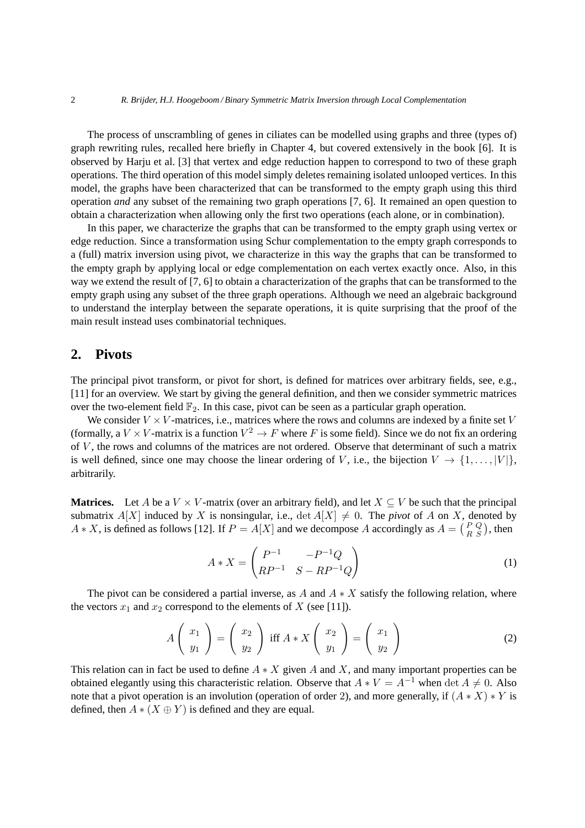The process of unscrambling of genes in ciliates can be modelled using graphs and three (types of) graph rewriting rules, recalled here briefly in Chapter 4, but covered extensively in the book [6]. It is observed by Harju et al. [3] that vertex and edge reduction happen to correspond to two of these graph operations. The third operation of this model simply deletes remaining isolated unlooped vertices. In this model, the graphs have been characterized that can be transformed to the empty graph using this third operation *and* any subset of the remaining two graph operations [7, 6]. It remained an open question to obtain a characterization when allowing only the first two operations (each alone, or in combination).

In this paper, we characterize the graphs that can be transformed to the empty graph using vertex or edge reduction. Since a transformation using Schur complementation to the empty graph corresponds to a (full) matrix inversion using pivot, we characterize in this way the graphs that can be transformed to the empty graph by applying local or edge complementation on each vertex exactly once. Also, in this way we extend the result of [7, 6] to obtain a characterization of the graphs that can be transformed to the empty graph using any subset of the three graph operations. Although we need an algebraic background to understand the interplay between the separate operations, it is quite surprising that the proof of the main result instead uses combinatorial techniques.

### **2. Pivots**

The principal pivot transform, or pivot for short, is defined for matrices over arbitrary fields, see, e.g., [11] for an overview. We start by giving the general definition, and then we consider symmetric matrices over the two-element field  $\mathbb{F}_2$ . In this case, pivot can be seen as a particular graph operation.

We consider  $V \times V$ -matrices, i.e., matrices where the rows and columns are indexed by a finite set V (formally, a  $V \times V$ -matrix is a function  $V^2 \to F$  where F is some field). Since we do not fix an ordering of V , the rows and columns of the matrices are not ordered. Observe that determinant of such a matrix is well defined, since one may choose the linear ordering of V, i.e., the bijection  $V \rightarrow \{1, \ldots, |V|\}$ , arbitrarily.

**Matrices.** Let A be a  $V \times V$ -matrix (over an arbitrary field), and let  $X \subseteq V$  be such that the principal submatrix  $A[X]$  induced by X is nonsingular, i.e.,  $\det A[X] \neq 0$ . The *pivot* of A on X, denoted by  $A * X$ , is defined as follows [12]. If  $P = A[X]$  and we decompose A accordingly as  $A = \begin{pmatrix} P & Q \\ R & S \end{pmatrix}$  $R_{R}^{PQ}$ , then

$$
A * X = \begin{pmatrix} P^{-1} & -P^{-1}Q \\ RP^{-1} & S - RP^{-1}Q \end{pmatrix}
$$
 (1)

The pivot can be considered a partial inverse, as A and  $A \times X$  satisfy the following relation, where the vectors  $x_1$  and  $x_2$  correspond to the elements of X (see [11]).

$$
A\left(\begin{array}{c} x_1 \\ y_1 \end{array}\right) = \left(\begin{array}{c} x_2 \\ y_2 \end{array}\right) \text{ iff } A * X\left(\begin{array}{c} x_2 \\ y_1 \end{array}\right) = \left(\begin{array}{c} x_1 \\ y_2 \end{array}\right) \tag{2}
$$

This relation can in fact be used to define  $A \times X$  given A and X, and many important properties can be obtained elegantly using this characteristic relation. Observe that  $A * V = A^{-1}$  when det  $A \neq 0$ . Also note that a pivot operation is an involution (operation of order 2), and more generally, if  $(A * X) * Y$  is defined, then  $A * (X \oplus Y)$  is defined and they are equal.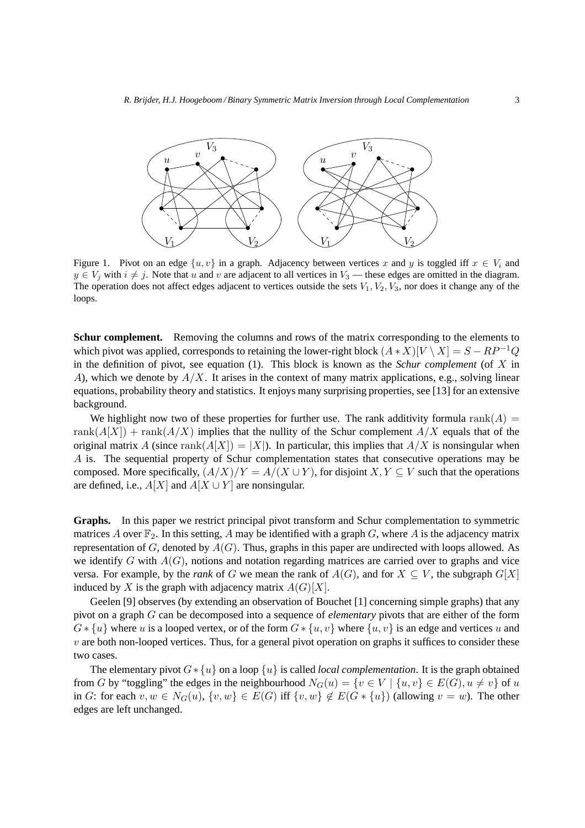

Figure 1. Pivot on an edge  $\{u, v\}$  in a graph. Adjacency between vertices x and y is toggled iff  $x \in V_i$  and  $y \in V_i$  with  $i \neq j$ . Note that u and v are adjacent to all vertices in  $V_3$  — these edges are omitted in the diagram. The operation does not affect edges adjacent to vertices outside the sets  $V_1, V_2, V_3$ , nor does it change any of the loops.

**Schur complement.** Removing the columns and rows of the matrix corresponding to the elements to which pivot was applied, corresponds to retaining the lower-right block  $(A * X)[V \setminus X] = S - RP^{-1}Q$ in the definition of pivot, see equation (1). This block is known as the *Schur complement* (of X in A), which we denote by  $A/X$ . It arises in the context of many matrix applications, e.g., solving linear equations, probability theory and statistics. It enjoys many surprising properties, see [13] for an extensive background.

We highlight now two of these properties for further use. The rank additivity formula rank( $A$ ) = rank $(A[X])$  + rank $(A/X)$  implies that the nullity of the Schur complement  $A/X$  equals that of the original matrix A (since rank $(A[X]) = |X|$ ). In particular, this implies that  $A/X$  is nonsingular when A is. The sequential property of Schur complementation states that consecutive operations may be composed. More specifically,  $(A/X)/Y = A/(X \cup Y)$ , for disjoint  $X, Y \subseteq V$  such that the operations are defined, i.e.,  $A[X]$  and  $A[X \cup Y]$  are nonsingular.

**Graphs.** In this paper we restrict principal pivot transform and Schur complementation to symmetric matrices A over  $\mathbb{F}_2$ . In this setting, A may be identified with a graph G, where A is the adjacency matrix representation of G, denoted by  $A(G)$ . Thus, graphs in this paper are undirected with loops allowed. As we identify  $G$  with  $A(G)$ , notions and notation regarding matrices are carried over to graphs and vice versa. For example, by the *rank* of G we mean the rank of  $A(G)$ , and for  $X \subseteq V$ , the subgraph  $G[X]$ induced by X is the graph with adjacency matrix  $A(G)[X]$ .

Geelen [9] observes (by extending an observation of Bouchet [1] concerning simple graphs) that any pivot on a graph G can be decomposed into a sequence of *elementary* pivots that are either of the form  $G * \{u\}$  where u is a looped vertex, or of the form  $G * \{u, v\}$  where  $\{u, v\}$  is an edge and vertices u and  $v$  are both non-looped vertices. Thus, for a general pivot operation on graphs it suffices to consider these two cases.

The elementary pivot G∗ {u} on a loop {u} is called *local complementation*. It is the graph obtained from G by "toggling" the edges in the neighbourhood  $N_G(u) = \{v \in V \mid \{u, v\} \in E(G), u \neq v\}$  of u in G: for each  $v, w \in N_G(u)$ ,  $\{v, w\} \in E(G)$  iff  $\{v, w\} \notin E(G * \{u\})$  (allowing  $v = w$ ). The other edges are left unchanged.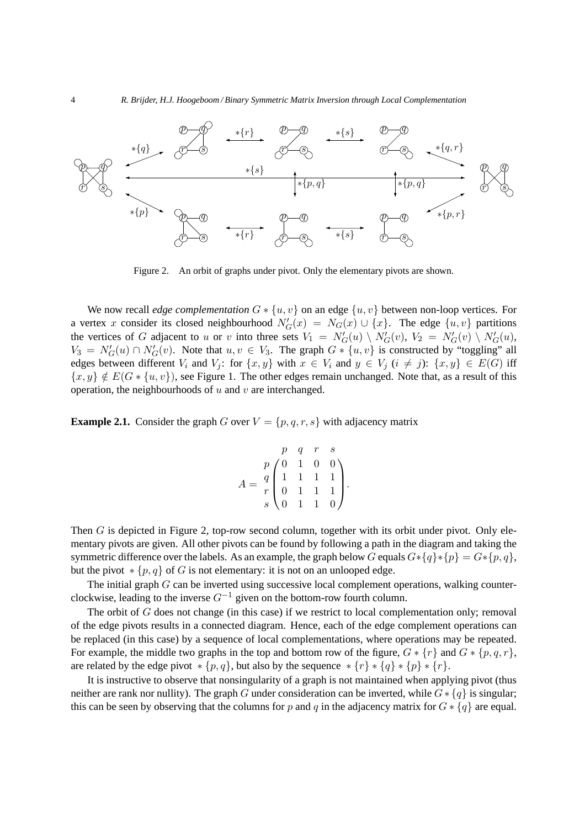

Figure 2. An orbit of graphs under pivot. Only the elementary pivots are shown.

We now recall *edge complementation*  $G * \{u, v\}$  on an edge  $\{u, v\}$  between non-loop vertices. For a vertex x consider its closed neighbourhood  $N'_{G}(x) = N_{G}(x) \cup \{x\}$ . The edge  $\{u, v\}$  partitions the vertices of G adjacent to u or v into three sets  $V_1 = N'_G(u) \setminus N'_G(v)$ ,  $V_2 = N'_G(v) \setminus N'_G(u)$ ,  $V_3 = N'_G(u) \cap N'_G(v)$ . Note that  $u, v \in V_3$ . The graph  $G * \{u, v\}$  is constructed by "toggling" all edges between different  $V_i$  and  $V_j$ : for  $\{x, y\}$  with  $x \in V_i$  and  $y \in V_j$   $(i \neq j)$ :  $\{x, y\} \in E(G)$  iff  $\{x, y\} \notin E(G * \{u, v\})$ , see Figure 1. The other edges remain unchanged. Note that, as a result of this operation, the neighbourhoods of  $u$  and  $v$  are interchanged.

**Example 2.1.** Consider the graph G over  $V = \{p, q, r, s\}$  with adjacency matrix

$$
A = \begin{pmatrix} p & q & r & s \\ q & 1 & 1 & 0 & 0 \\ r & 0 & 1 & 1 & 1 \\ s & 0 & 1 & 1 & 0 \end{pmatrix}.
$$

Then G is depicted in Figure 2, top-row second column, together with its orbit under pivot. Only elementary pivots are given. All other pivots can be found by following a path in the diagram and taking the symmetric difference over the labels. As an example, the graph below G equals  $G * \{q\} * \{p\} = G * \{p, q\}$ , but the pivot  $\ast \{p, q\}$  of G is not elementary: it is not on an unlooped edge.

The initial graph  $G$  can be inverted using successive local complement operations, walking counterclockwise, leading to the inverse  $G^{-1}$  given on the bottom-row fourth column.

The orbit of  $G$  does not change (in this case) if we restrict to local complementation only; removal of the edge pivots results in a connected diagram. Hence, each of the edge complement operations can be replaced (in this case) by a sequence of local complementations, where operations may be repeated. For example, the middle two graphs in the top and bottom row of the figure,  $G * \{r\}$  and  $G * \{p, q, r\}$ , are related by the edge pivot  $* \{p, q\}$ , but also by the sequence  $* \{r\} * \{q\} * \{p\} * \{r\}$ .

It is instructive to observe that nonsingularity of a graph is not maintained when applying pivot (thus neither are rank nor nullity). The graph G under consideration can be inverted, while  $G * \{q\}$  is singular; this can be seen by observing that the columns for p and q in the adjacency matrix for  $G * \{q\}$  are equal.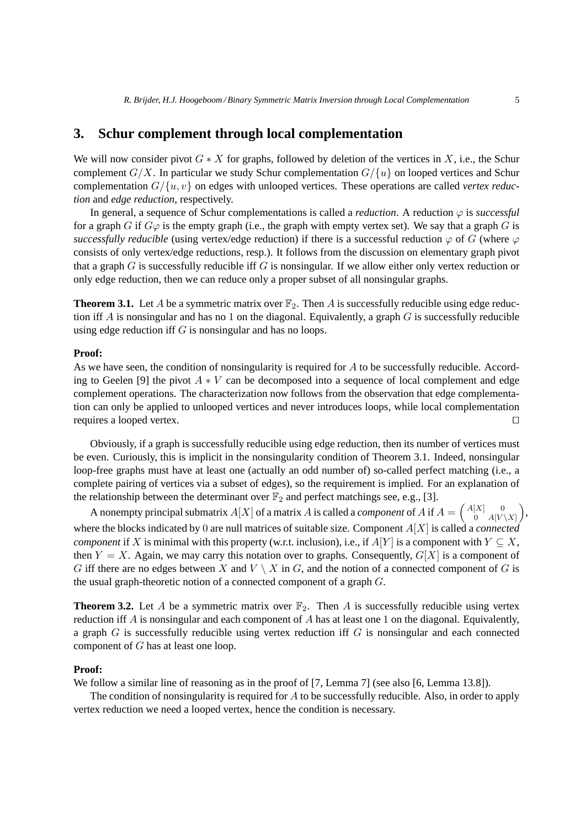### **3. Schur complement through local complementation**

We will now consider pivot  $G * X$  for graphs, followed by deletion of the vertices in X, i.e., the Schur complement  $G/X$ . In particular we study Schur complementation  $G/\lbrace u \rbrace$  on looped vertices and Schur complementation  $G/\lbrace u, v \rbrace$  on edges with unlooped vertices. These operations are called *vertex reduction* and *edge reduction*, respectively.

In general, a sequence of Schur complementations is called a *reduction*. A reduction  $\varphi$  is *successful* for a graph G if  $G\varphi$  is the empty graph (i.e., the graph with empty vertex set). We say that a graph G is *successfully reducible* (using vertex/edge reduction) if there is a successful reduction  $\varphi$  of G (where  $\varphi$ consists of only vertex/edge reductions, resp.). It follows from the discussion on elementary graph pivot that a graph  $G$  is successfully reducible iff  $G$  is nonsingular. If we allow either only vertex reduction or only edge reduction, then we can reduce only a proper subset of all nonsingular graphs.

**Theorem 3.1.** Let A be a symmetric matrix over  $\mathbb{F}_2$ . Then A is successfully reducible using edge reduction iff  $A$  is nonsingular and has no 1 on the diagonal. Equivalently, a graph  $G$  is successfully reducible using edge reduction iff  $G$  is nonsingular and has no loops.

#### **Proof:**

As we have seen, the condition of nonsingularity is required for A to be successfully reducible. According to Geelen [9] the pivot  $A * V$  can be decomposed into a sequence of local complement and edge complement operations. The characterization now follows from the observation that edge complementation can only be applied to unlooped vertices and never introduces loops, while local complementation requires a looped vertex. ⊓⊔

Obviously, if a graph is successfully reducible using edge reduction, then its number of vertices must be even. Curiously, this is implicit in the nonsingularity condition of Theorem 3.1. Indeed, nonsingular loop-free graphs must have at least one (actually an odd number of) so-called perfect matching (i.e., a complete pairing of vertices via a subset of edges), so the requirement is implied. For an explanation of the relationship between the determinant over  $\mathbb{F}_2$  and perfect matchings see, e.g., [3].

A nonempty principal submatrix  $A[X]$  of a matrix A is called a *component* of A if  $A = \begin{pmatrix} A[X] & 0 \\ 0 & A[Y]\end{pmatrix}$  $\begin{pmatrix} [X] & 0 \ 0 & A[V \setminus X] \end{pmatrix}$ where the blocks indicated by 0 are null matrices of suitable size. Component A[X] is called a *connected component* if X is minimal with this property (w.r.t. inclusion), i.e., if  $A[Y]$  is a component with  $Y \subseteq X$ , then  $Y = X$ . Again, we may carry this notation over to graphs. Consequently,  $G[X]$  is a component of G iff there are no edges between X and  $V \setminus X$  in G, and the notion of a connected component of G is the usual graph-theoretic notion of a connected component of a graph G.

**Theorem 3.2.** Let A be a symmetric matrix over  $\mathbb{F}_2$ . Then A is successfully reducible using vertex reduction iff A is nonsingular and each component of A has at least one 1 on the diagonal. Equivalently, a graph  $G$  is successfully reducible using vertex reduction iff  $G$  is nonsingular and each connected component of G has at least one loop.

#### **Proof:**

We follow a similar line of reasoning as in the proof of [7, Lemma 7] (see also [6, Lemma 13.8]).

The condition of nonsingularity is required for  $A$  to be successfully reducible. Also, in order to apply vertex reduction we need a looped vertex, hence the condition is necessary.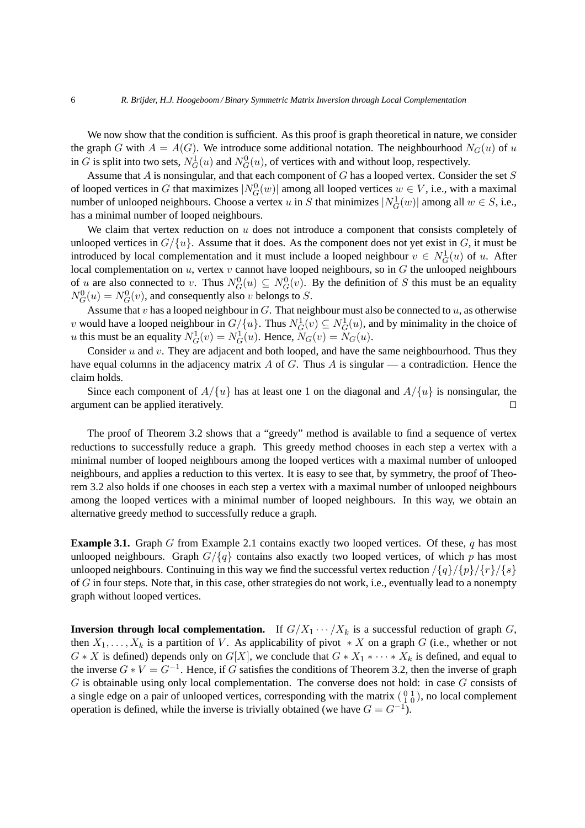We now show that the condition is sufficient. As this proof is graph theoretical in nature, we consider the graph G with  $A = A(G)$ . We introduce some additional notation. The neighbourhood  $N_G(u)$  of u in G is split into two sets,  $N_G^1(u)$  and  $N_G^0(u)$ , of vertices with and without loop, respectively.

Assume that  $A$  is nonsingular, and that each component of  $G$  has a looped vertex. Consider the set  $S$ of looped vertices in G that maximizes  $|N_G^0(w)|$  among all looped vertices  $w \in V$ , i.e., with a maximal number of unlooped neighbours. Choose a vertex u in S that minimizes  $|N_G^1(w)|$  among all  $w \in S$ , i.e., has a minimal number of looped neighbours.

We claim that vertex reduction on  $u$  does not introduce a component that consists completely of unlooped vertices in  $G/\{u\}$ . Assume that it does. As the component does not yet exist in G, it must be introduced by local complementation and it must include a looped neighbour  $v \in N_G^1(u)$  of u. After local complementation on  $u$ , vertex  $v$  cannot have looped neighbours, so in  $G$  the unlooped neighbours of u are also connected to v. Thus  $N_G^0(u) \subseteq N_G^0(v)$ . By the definition of S this must be an equality  $N_G^0(u) = N_G^0(v)$ , and consequently also v belongs to S.

Assume that v has a looped neighbour in G. That neighbour must also be connected to  $u$ , as otherwise v would have a looped neighbour in  $G/\{u\}$ . Thus  $N_G^1(v) \subseteq N_G^1(u)$ , and by minimality in the choice of *u* this must be an equality  $N_G^1(v) = N_G^1(u)$ . Hence,  $N_G(v) = N_G(u)$ .

Consider  $u$  and  $v$ . They are adjacent and both looped, and have the same neighbourhood. Thus they have equal columns in the adjacency matrix A of G. Thus A is singular — a contradiction. Hence the claim holds.

Since each component of  $A/\{u\}$  has at least one 1 on the diagonal and  $A/\{u\}$  is nonsingular, the argument can be applied iteratively. □

The proof of Theorem 3.2 shows that a "greedy" method is available to find a sequence of vertex reductions to successfully reduce a graph. This greedy method chooses in each step a vertex with a minimal number of looped neighbours among the looped vertices with a maximal number of unlooped neighbours, and applies a reduction to this vertex. It is easy to see that, by symmetry, the proof of Theorem 3.2 also holds if one chooses in each step a vertex with a maximal number of unlooped neighbours among the looped vertices with a minimal number of looped neighbours. In this way, we obtain an alternative greedy method to successfully reduce a graph.

**Example 3.1.** Graph G from Example 2.1 contains exactly two looped vertices. Of these, q has most unlooped neighbours. Graph  $G/\lbrace q \rbrace$  contains also exactly two looped vertices, of which p has most unlooped neighbours. Continuing in this way we find the successful vertex reduction  $\frac{q}{q}\sqrt{\frac{p}{q}}$ of G in four steps. Note that, in this case, other strategies do not work, i.e., eventually lead to a nonempty graph without looped vertices.

**Inversion through local complementation.** If  $G/X_1 \cdots / X_k$  is a successful reduction of graph G, then  $X_1, \ldots, X_k$  is a partition of V. As applicability of pivot  $* X$  on a graph G (i.e., whether or not  $G * X$  is defined) depends only on  $G[X]$ , we conclude that  $G * X_1 * \cdots * X_k$  is defined, and equal to the inverse  $G * V = G^{-1}$ . Hence, if G satisfies the conditions of Theorem 3.2, then the inverse of graph G is obtainable using only local complementation. The converse does not hold: in case G consists of a single edge on a pair of unlooped vertices, corresponding with the matrix  $\begin{pmatrix} 0 & 1 \\ 1 & 0 \end{pmatrix}$ , no local complement operation is defined, while the inverse is trivially obtained (we have  $G = G^{-1}$ ).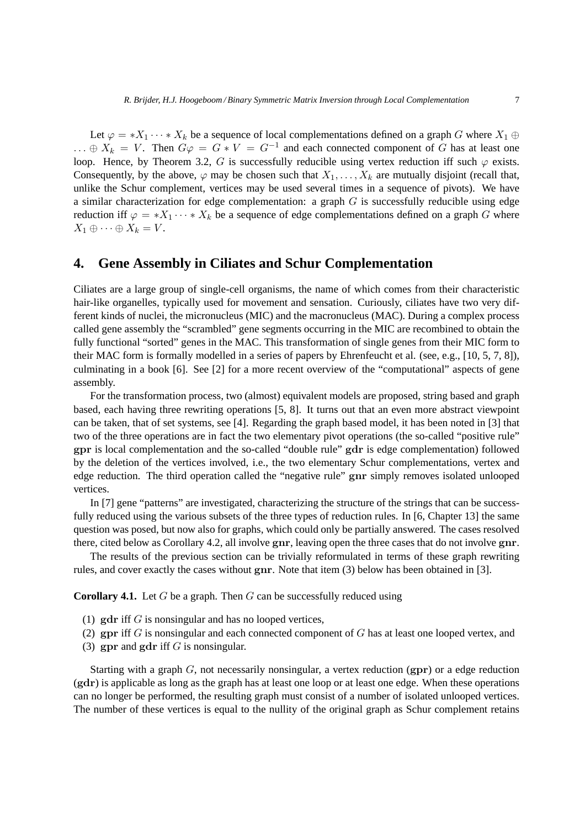Let  $\varphi = *X_1 \cdots *X_k$  be a sequence of local complementations defined on a graph G where  $X_1 \oplus$  $\ldots \oplus X_k = V$ . Then  $G\varphi = G * V = G^{-1}$  and each connected component of G has at least one loop. Hence, by Theorem 3.2, G is successfully reducible using vertex reduction iff such  $\varphi$  exists. Consequently, by the above,  $\varphi$  may be chosen such that  $X_1, \ldots, X_k$  are mutually disjoint (recall that, unlike the Schur complement, vertices may be used several times in a sequence of pivots). We have a similar characterization for edge complementation: a graph  $G$  is successfully reducible using edge reduction iff  $\varphi = *X_1 \cdots *X_k$  be a sequence of edge complementations defined on a graph G where  $X_1 \oplus \cdots \oplus X_k = V.$ 

### **4. Gene Assembly in Ciliates and Schur Complementation**

Ciliates are a large group of single-cell organisms, the name of which comes from their characteristic hair-like organelles, typically used for movement and sensation. Curiously, ciliates have two very different kinds of nuclei, the micronucleus (MIC) and the macronucleus (MAC). During a complex process called gene assembly the "scrambled" gene segments occurring in the MIC are recombined to obtain the fully functional "sorted" genes in the MAC. This transformation of single genes from their MIC form to their MAC form is formally modelled in a series of papers by Ehrenfeucht et al. (see, e.g., [10, 5, 7, 8]), culminating in a book [6]. See [2] for a more recent overview of the "computational" aspects of gene assembly.

For the transformation process, two (almost) equivalent models are proposed, string based and graph based, each having three rewriting operations [5, 8]. It turns out that an even more abstract viewpoint can be taken, that of set systems, see [4]. Regarding the graph based model, it has been noted in [3] that two of the three operations are in fact the two elementary pivot operations (the so-called "positive rule" gpr is local complementation and the so-called "double rule" gdr is edge complementation) followed by the deletion of the vertices involved, i.e., the two elementary Schur complementations, vertex and edge reduction. The third operation called the "negative rule" gnr simply removes isolated unlooped vertices.

In [7] gene "patterns" are investigated, characterizing the structure of the strings that can be successfully reduced using the various subsets of the three types of reduction rules. In [6, Chapter 13] the same question was posed, but now also for graphs, which could only be partially answered. The cases resolved there, cited below as Corollary 4.2, all involve gnr, leaving open the three cases that do not involve gnr.

The results of the previous section can be trivially reformulated in terms of these graph rewriting rules, and cover exactly the cases without gnr. Note that item (3) below has been obtained in [3].

**Corollary 4.1.** Let G be a graph. Then G can be successfully reduced using

- (1)  $\gcd$ r iff G is nonsingular and has no looped vertices,
- (2) gpr iff G is nonsingular and each connected component of G has at least one looped vertex, and
- (3) gpr and gdr iff  $G$  is nonsingular.

Starting with a graph  $G$ , not necessarily nonsingular, a vertex reduction  $(gpr)$  or a edge reduction (gdr) is applicable as long as the graph has at least one loop or at least one edge. When these operations can no longer be performed, the resulting graph must consist of a number of isolated unlooped vertices. The number of these vertices is equal to the nullity of the original graph as Schur complement retains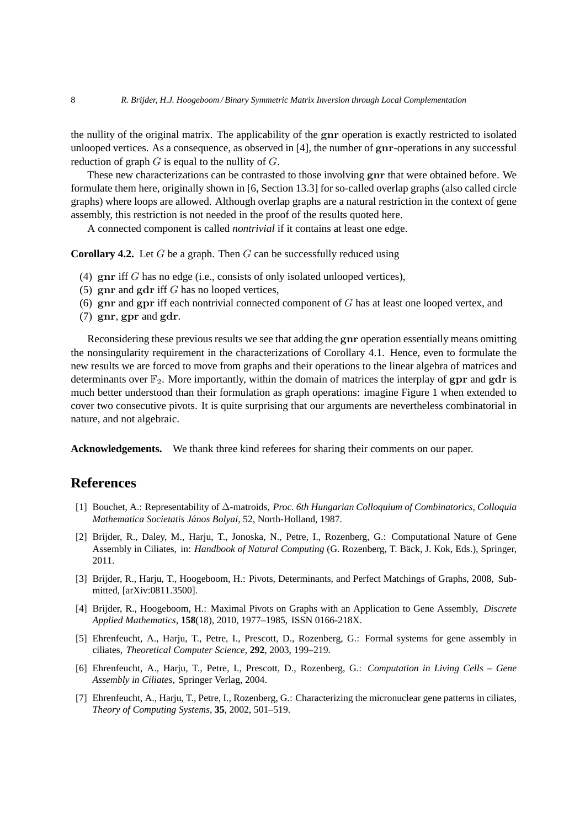the nullity of the original matrix. The applicability of the gnr operation is exactly restricted to isolated unlooped vertices. As a consequence, as observed in [4], the number of gnr-operations in any successful reduction of graph  $G$  is equal to the nullity of  $G$ .

These new characterizations can be contrasted to those involving gnr that were obtained before. We formulate them here, originally shown in [6, Section 13.3] for so-called overlap graphs (also called circle graphs) where loops are allowed. Although overlap graphs are a natural restriction in the context of gene assembly, this restriction is not needed in the proof of the results quoted here.

A connected component is called *nontrivial* if it contains at least one edge.

**Corollary 4.2.** Let G be a graph. Then G can be successfully reduced using

- (4) gnr iff G has no edge (i.e., consists of only isolated unlooped vertices),
- (5)  $\gamma$  and gdr iff G has no looped vertices,
- (6)  $\boldsymbol{\mathrm{gnr}}$  and  $\boldsymbol{\mathrm{gpr}}$  iff each nontrivial connected component of G has at least one looped vertex, and
- (7) gnr, gpr and gdr.

Reconsidering these previous results we see that adding the gnr operation essentially means omitting the nonsingularity requirement in the characterizations of Corollary 4.1. Hence, even to formulate the new results we are forced to move from graphs and their operations to the linear algebra of matrices and determinants over  $\mathbb{F}_2$ . More importantly, within the domain of matrices the interplay of gpr and gdr is much better understood than their formulation as graph operations: imagine Figure 1 when extended to cover two consecutive pivots. It is quite surprising that our arguments are nevertheless combinatorial in nature, and not algebraic.

**Acknowledgements.** We thank three kind referees for sharing their comments on our paper.

## **References**

- [1] Bouchet, A.: Representability of ∆-matroids, *Proc. 6th Hungarian Colloquium of Combinatorics, Colloquia Mathematica Societatis Janos Bolyai ´* , 52, North-Holland, 1987.
- [2] Brijder, R., Daley, M., Harju, T., Jonoska, N., Petre, I., Rozenberg, G.: Computational Nature of Gene Assembly in Ciliates, in: *Handbook of Natural Computing* (G. Rozenberg, T. Back, J. Kok, Eds.), Springer, ¨ 2011.
- [3] Brijder, R., Harju, T., Hoogeboom, H.: Pivots, Determinants, and Perfect Matchings of Graphs, 2008, Submitted, [arXiv:0811.3500].
- [4] Brijder, R., Hoogeboom, H.: Maximal Pivots on Graphs with an Application to Gene Assembly, *Discrete Applied Mathematics*, **158**(18), 2010, 1977–1985, ISSN 0166-218X.
- [5] Ehrenfeucht, A., Harju, T., Petre, I., Prescott, D., Rozenberg, G.: Formal systems for gene assembly in ciliates, *Theoretical Computer Science*, **292**, 2003, 199–219.
- [6] Ehrenfeucht, A., Harju, T., Petre, I., Prescott, D., Rozenberg, G.: *Computation in Living Cells Gene Assembly in Ciliates*, Springer Verlag, 2004.
- [7] Ehrenfeucht, A., Harju, T., Petre, I., Rozenberg, G.: Characterizing the micronuclear gene patterns in ciliates, *Theory of Computing Systems*, **35**, 2002, 501–519.